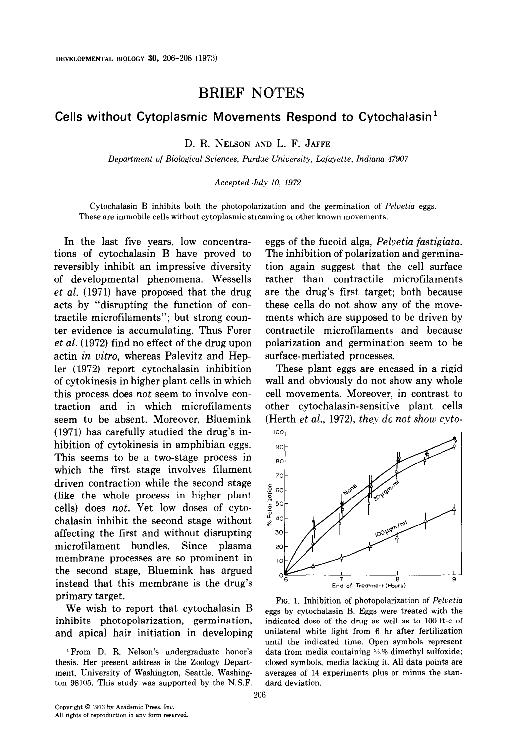## BRIEF NOTES

## Cells without Cytoplasmic Movements Respond to Cytochalasin'

D. R. NELSON AND L. F. JAFFE

Department of Biological Sciences, Purdue University, Lafayette, Indiana 47907

## Accepted July 10, 1972

Cytochalasin B inhibits both the photopolarization and the germination of Peluetia eggs. These are immobile cells without cytoplasmic streaming or other known movements.

In the last five years, low concentrations of cytochalasin B have proved to reversibly inhibit an impressive diversity of developmental phenomena. Wessells et al. (1971) have proposed that the drug acts by "disrupting the function of contractile microfilaments"; but strong counter evidence is accumulating. Thus Forer et al. (1972) find no effect of the drug upon actin in uitro, whereas Palevitz and Hepler (1972) report cytochalasin inhibition of cytokinesis in higher plant cells in which this process does not seem to involve contraction and in which microfilaments seem to be absent. Moreover, Bluemink (1971) has carefully studied the drug's inhibition of cytokinesis in amphibian eggs. This seems to be a two-stage process in which the first stage involves filament driven contraction while the second stage (like the whole process in higher plant cells) does not. Yet low doses of cytochalasin inhibit the second stage without affecting the first and without disrupting microfilament bundles. Since plasma membrane processes are so prominent in the second stage, Bluemink has argued instead that this membrane is the drug's primary target.

We wish to report that cytochalasin B inhibits photopolarization, germination, and apical hair initiation in developing

'From D. R. Nelson's undergraduate honor's thesis. Her present address is the Zoology Department, University of Washington, Seattle, Washington 98105. This study was supported by the N.S.F. eggs of the fucoid alga, Pelvetia fastigiata. The inhibition of polarization and germination again suggest that the cell surface rather than contractile microfilaments are the drug's first target; both because these cells do not show any of the movements which are supposed to be driven by contractile microfilaments and because polarization and germination seem to be surface-mediated processes.

These plant eggs are encased in a rigid wall and obviously do not show any whole cell movements. Moreover, in contrast to other cytochalasin-sensitive plant cells (Herth et al., 1972), they do not show cyto-



FIG. 1. Inhibition of photopolarization of Peluetia eggs by cytochalasin B. Eggs were treated with the indicated dose of the drug as well as to lOO-ft-c of unilateral white light from 6 hr after fertilization until the indicated time. Open symbols represent data from media containing  $\frac{3}{8}$  dimethyl sulfoxide; closed symbols, media lacking it. All data points are averages of 14 experiments plus or minus the standard deviation.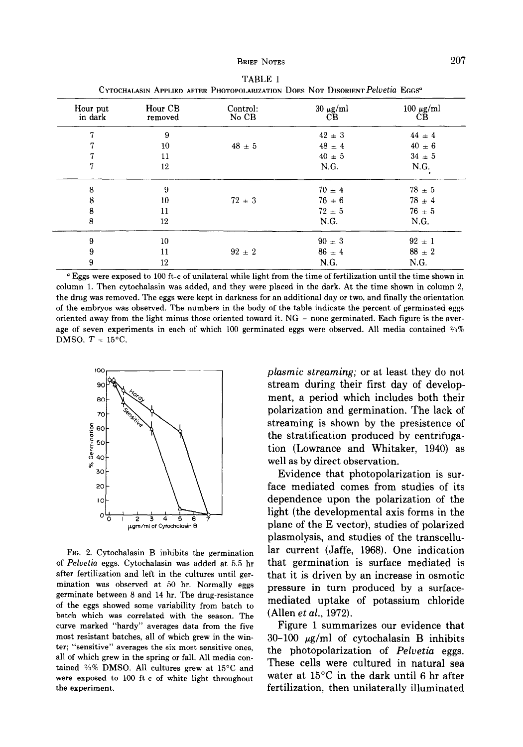| CTTUCHALASIN APPLIED AFTER FHUTOPOLARIZATION DOES INOT DISORIENTT EUGENE EGGS |                    |                   |                     |                      |
|-------------------------------------------------------------------------------|--------------------|-------------------|---------------------|----------------------|
| Hour put<br>in dark                                                           | Hour CB<br>removed | Control:<br>No CB | $30 \mu g/ml$<br>CB | $100 \mu g/ml$<br>СB |
| 7                                                                             | 9                  |                   | $42 \pm 3$          | $44 \pm 4$           |
| 7                                                                             | 10                 | $48 \pm 5$        | $48 \pm 4$          | $40 \pm 6$           |
| 7                                                                             | 11                 |                   | $40 \pm 5$          | $34 \pm 5$           |
| 7                                                                             | 12                 |                   | N.G.                | N.G.                 |
| 8                                                                             | 9                  |                   | $70 \pm 4$          | $78 + 5$             |
| 8                                                                             | $10\,$             | $72 \pm 3$        | $76 \pm 6$          | $78 \pm 4$           |
| 8                                                                             | 11                 |                   | $72 \pm 5$          | $76 \pm 5$           |
| 8                                                                             | 12                 |                   | N.G.                | N.G.                 |
| 9                                                                             | 10                 |                   | $90 \pm 3$          | $92 \pm 1$           |
| 9                                                                             | 11                 | $92 \pm 2$        | $86 \pm 4$          | $88 \pm 2$           |
| 9                                                                             | 12                 |                   | N.G.                | N.G.                 |

TABLE 1 Cytochalasin Applied after Photopolarization Does Not Disorient*Peluetia* Eggs<sup>a</sup>

<sup>a</sup> Eggs were exposed to 100 ft-c of unilateral while light from the time of fertilization until the time shown in column 1. Then cytochalasin was added, and they were placed in the dark. At the time shown in column 2, the drug was removed. The eggs were kept in darkness for an additional day or two, and finally the orientation of the embryos was observed. The numbers in the body of the table indicate the percent of germinated eggs oriented away from the light minus those oriented toward it.  $NG =$  none germinated. Each figure is the average of seven experiments in each of which 100 germinated eggs were observed. All media contained  $\frac{2}{3}\%$ DMSO.  $T = 15^{\circ}$ C.



FIG. 2. Cytochalasin B inhibits the germination of Peluetia eggs. Cytochalasin was added at 5.5 hr after fertilization and left in the cultures until germination was observed at 50 hr. Normally eggs germinate between 8 and 14 hr. The drug-resistance of the eggs showed some variability from batch to batch which was correlated with the season. The curve marked "hardy" averages data from the five most resistant batches, all of which grew in the winter; "sensitive" averages the six most sensitive ones, all of which grew in the spring or fall. All media contained  $\frac{2}{3}\%$  DMSO. All cultures grew at 15°C and were exposed to 100 ft-c of white light throughout the experiment.

plasmic streaming; or at least they do not stream during their first day of development, a period which includes both their polarization and germination. The lack of streaming is shown by the presistence of the stratification produced by centrifugation (Lowrance and Whitaker, 1940) as well as by direct observation.

Evidence that photopolarization is surface mediated comes from studies of its dependence upon the polarization of the light (the developmental axis forms in the plane of the E vector), studies of polarized plasmolysis, and studies of the transcellular current (Jaffe, 1968). One indication that germination is surface mediated is that it is driven by an increase in osmotic pressure in turn produced by a surfacemediated uptake of potassium chloride (Allen et al., 1972).

Figure 1 summarizes our evidence that  $30-100 \mu g/ml$  of cytochalasin B inhibits the photopolarization of Pelvetia eggs. These cells were cultured in natural sea water at 15°C in the dark until 6 hr after fertilization, then unilaterally illuminated